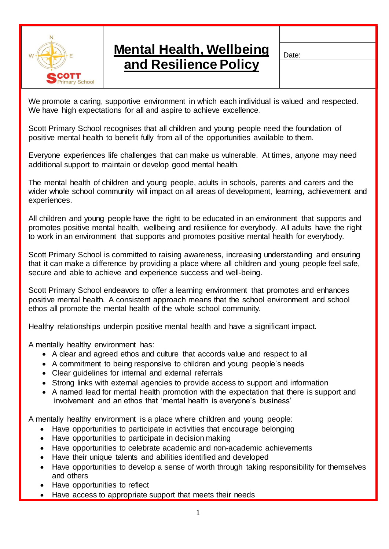

## **Mental Health, Wellbeing and Resilience Policy**

Date:

We promote a caring, supportive environment in which each individual is valued and respected. We have high expectations for all and aspire to achieve excellence.

Scott Primary School recognises that all children and young people need the foundation of positive mental health to benefit fully from all of the opportunities available to them.

Everyone experiences life challenges that can make us vulnerable. At times, anyone may need additional support to maintain or develop good mental health.

The mental health of children and young people, adults in schools, parents and carers and the wider whole school community will impact on all areas of development, learning, achievement and experiences.

All children and young people have the right to be educated in an environment that supports and promotes positive mental health, wellbeing and resilience for everybody. All adults have the right to work in an environment that supports and promotes positive mental health for everybody.

Scott Primary School is committed to raising awareness, increasing understanding and ensuring that it can make a difference by providing a place where all children and young people feel safe, secure and able to achieve and experience success and well-being.

Scott Primary School endeavors to offer a learning environment that promotes and enhances positive mental health. A consistent approach means that the school environment and school ethos all promote the mental health of the whole school community.

Healthy relationships underpin positive mental health and have a significant impact.

A mentally healthy environment has:

- A clear and agreed ethos and culture that accords value and respect to all
- A commitment to being responsive to children and young people's needs
- Clear guidelines for internal and external referrals
- Strong links with external agencies to provide access to support and information
- A named lead for mental health promotion with the expectation that there is support and involvement and an ethos that 'mental health is everyone's business'

A mentally healthy environment is a place where children and young people:

- Have opportunities to participate in activities that encourage belonging
- Have opportunities to participate in decision making
- Have opportunities to celebrate academic and non-academic achievements
- Have their unique talents and abilities identified and developed
- Have opportunities to develop a sense of worth through taking responsibility for themselves and others
- Have opportunities to reflect
- Have access to appropriate support that meets their needs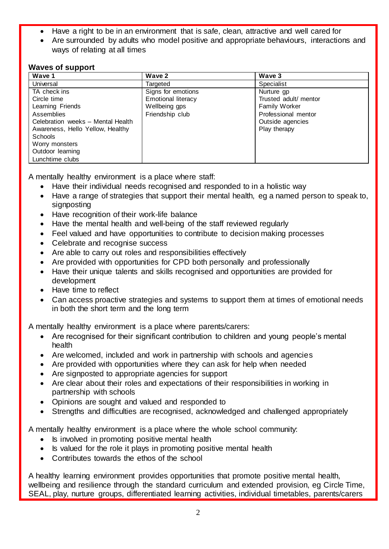- Have a right to be in an environment that is safe, clean, attractive and well cared for
- Are surrounded by adults who model positive and appropriate behaviours, interactions and ways of relating at all times

## **Waves of support**

| Wave 1                            | Wave 2                    | Wave 3                |
|-----------------------------------|---------------------------|-----------------------|
| Universal                         | Targeted                  | Specialist            |
| TA check ins                      | Signs for emotions        | Nurture gp            |
| Circle time                       | <b>Emotional literacy</b> | Trusted adult/ mentor |
| Learning Friends                  | Wellbeing gps             | Family Worker         |
| Assemblies                        | Friendship club           | Professional mentor   |
| Celebration weeks - Mental Health |                           | Outside agencies      |
| Awareness, Hello Yellow, Healthy  |                           | Play therapy          |
| Schools                           |                           |                       |
| Worry monsters                    |                           |                       |
| Outdoor learning                  |                           |                       |
| Lunchtime clubs                   |                           |                       |

A mentally healthy environment is a place where staff:

- Have their individual needs recognised and responded to in a holistic way
- Have a range of strategies that support their mental health, eg a named person to speak to, signposting
- Have recognition of their work-life balance
- Have the mental health and well-being of the staff reviewed regularly
- Feel valued and have opportunities to contribute to decision making processes
- Celebrate and recognise success
- Are able to carry out roles and responsibilities effectively
- Are provided with opportunities for CPD both personally and professionally
- Have their unique talents and skills recognised and opportunities are provided for development
- Have time to reflect
- Can access proactive strategies and systems to support them at times of emotional needs in both the short term and the long term

A mentally healthy environment is a place where parents/carers:

- Are recognised for their significant contribution to children and young people's mental health
- Are welcomed, included and work in partnership with schools and agencies
- Are provided with opportunities where they can ask for help when needed
- Are signposted to appropriate agencies for support
- Are clear about their roles and expectations of their responsibilities in working in partnership with schools
- Opinions are sought and valued and responded to
- Strengths and difficulties are recognised, acknowledged and challenged appropriately

A mentally healthy environment is a place where the whole school community:

- Is involved in promoting positive mental health
- Is valued for the role it plays in promoting positive mental health
- Contributes towards the ethos of the school

A healthy learning environment provides opportunities that promote positive mental health, wellbeing and resilience through the standard curriculum and extended provision, eg Circle Time, SEAL, play, nurture groups, differentiated learning activities, individual timetables, parents/carers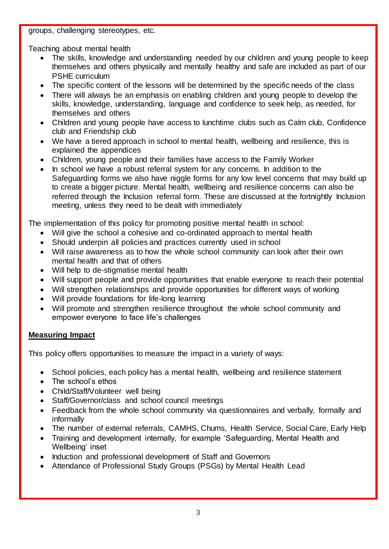groups, challenging stereotypes, etc.

Teaching about mental health

- The skills, knowledge and understanding needed by our children and young people to keep themselves and others physically and mentally healthy and safe are included as part of our PSHE curriculum
- The specific content of the lessons will be determined by the specific needs of the class
- There will always be an emphasis on enabling children and young people to develop the skills, knowledge, understanding, language and confidence to seek help, as needed, for themselves and others
- Children and young people have access to lunchtime clubs such as Calm club, Confidence club and Friendship club
- We have a tiered approach in school to mental health, wellbeing and resilience, this is explained the appendices
- Children, young people and their families have access to the Family Worker
- In school we have a robust referral system for any concerns. In addition to the Safeguarding forms we also have niggle forms for any low level concerns that may build up to create a bigger picture. Mental health, wellbeing and resilience concerns can also be referred through the Inclusion referral form. These are discussed at the fortnightly Inclusion meeting, unless they need to be dealt with immediately

The implementation of this policy for promoting positive mental health in school:

- Will give the school a cohesive and co-ordinated approach to mental health
- Should underpin all policies and practices currently used in school
- Will raise awareness as to how the whole school community can look after their own mental health and that of others
- Will help to de-stigmatise mental health
- Will support people and provide opportunities that enable everyone to reach their potential
- Will strengthen relationships and provide opportunities for different ways of working
- Will provide foundations for life-long learning
- Will promote and strengthen resilience throughout the whole school community and empower everyone to face life's challenges

## **Measuring Impact**

This policy offers opportunities to measure the impact in a variety of ways:

- School policies, each policy has a mental health, wellbeing and resilience statement
- The school's ethos
- Child/Staff/Volunteer well being
- Staff/Governor/class and school council meetings
- Feedback from the whole school community via questionnaires and verbally, formally and informally
- The number of external referrals, CAMHS, Chums, Health Service, Social Care, Early Help
- Training and development internally, for example 'Safeguarding, Mental Health and Wellbeing' inset
- Induction and professional development of Staff and Governors
- Attendance of Professional Study Groups (PSGs) by Mental Health Lead